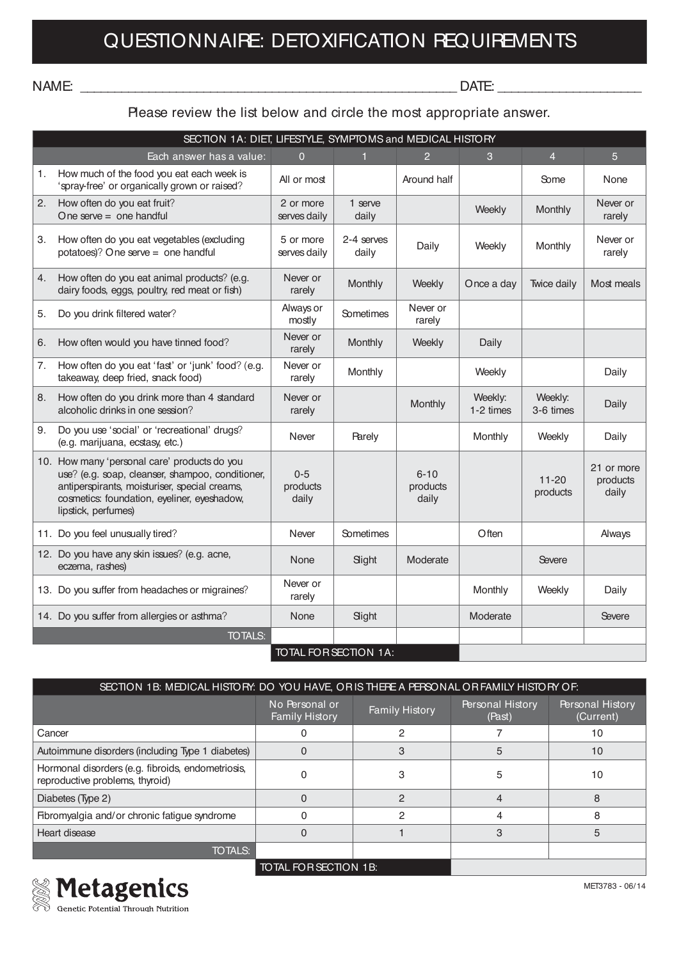## NAME: \_\_\_\_\_\_\_\_\_\_\_\_\_\_\_\_\_\_\_\_\_\_\_\_\_\_\_\_\_\_\_\_\_\_\_\_\_\_\_\_\_\_\_\_\_\_\_\_\_\_\_\_\_\_\_ DATE: \_\_\_\_\_\_\_\_\_\_\_\_\_\_\_\_\_\_\_\_\_

## Please review the list below and circle the most appropriate answer.

|                | SECTION 1A: DIET, LIFESTYLE, SYMPTOMS and MEDICAL HISTORY                                                                                                                                                               |                              |                              |                               |                      |                       |                                 |  |  |  |
|----------------|-------------------------------------------------------------------------------------------------------------------------------------------------------------------------------------------------------------------------|------------------------------|------------------------------|-------------------------------|----------------------|-----------------------|---------------------------------|--|--|--|
|                | Each answer has a value:                                                                                                                                                                                                | $\overline{0}$               | $\mathbf{1}$                 | $\overline{2}$                | 3                    | $\overline{4}$        | 5                               |  |  |  |
| $\mathbf{1}$ . | How much of the food you eat each week is<br>'spray-free' or organically grown or raised?                                                                                                                               | All or most                  |                              | Around half                   |                      | Some                  | None                            |  |  |  |
| 2.             | How often do you eat fruit?<br>One serve $=$ one handful                                                                                                                                                                | 2 or more<br>serves daily    | 1 serve<br>daily             |                               | Weekly               | Monthly               | Never or<br>rarely              |  |  |  |
| 3.             | How often do you eat vegetables (excluding<br>potatoes)? One serve = one handful                                                                                                                                        | 5 or more<br>serves daily    | 2-4 serves<br>daily          | Daily                         | Weekly               | Monthly               | Never or<br>rarely              |  |  |  |
| 4.             | How often do you eat animal products? (e.g.<br>dairy foods, eggs, poultry, red meat or fish)                                                                                                                            | Never or<br>rarely           | Monthly                      | Weekly                        | Once a day           | Twice daily           | Most meals                      |  |  |  |
| 5.             | Do you drink filtered water?                                                                                                                                                                                            | Always or<br>mostly          | Sometimes                    | Never or<br>rarely            |                      |                       |                                 |  |  |  |
| 6.             | How often would you have tinned food?                                                                                                                                                                                   | Never or<br>rarely           | Monthly                      | Weekly                        | Daily                |                       |                                 |  |  |  |
| 7.             | How often do you eat 'fast' or 'junk' food? (e.g.<br>takeaway, deep fried, snack food)                                                                                                                                  | Never or<br>rarely           | Monthly                      |                               | Weekly               |                       | Daily                           |  |  |  |
| 8.             | How often do you drink more than 4 standard<br>alcoholic drinks in one session?                                                                                                                                         | Never or<br>rarely           |                              | Monthly                       | Weekly:<br>1-2 times | Weekly:<br>3-6 times  | Daily                           |  |  |  |
| 9.             | Do you use 'social' or 'recreational' drugs?<br>(e.g. marijuana, ecstasy, etc.)                                                                                                                                         | Never                        | <b>Rarely</b>                |                               | Monthly              | Weekly                | Daily                           |  |  |  |
|                | 10. How many 'personal care' products do you<br>use? (e.g. soap, cleanser, shampoo, conditioner,<br>antiperspirants, moisturiser, special creams,<br>cosmetics: foundation, eyeliner, eyeshadow,<br>lipstick, perfumes) | $0 - 5$<br>products<br>daily |                              | $6 - 10$<br>products<br>daily |                      | $11 - 20$<br>products | 21 or more<br>products<br>daily |  |  |  |
|                | 11. Do you feel unusually tired?                                                                                                                                                                                        | Never                        | <b>Sometimes</b>             |                               | Often                |                       | Always                          |  |  |  |
|                | 12. Do you have any skin issues? (e.g. acne,<br>eczema, rashes)                                                                                                                                                         | None                         | Slight                       | Moderate                      |                      | Severe                |                                 |  |  |  |
|                | 13. Do you suffer from headaches or migraines?                                                                                                                                                                          | Never or<br>rarely           |                              |                               | Monthly              | Weekly                | Daily                           |  |  |  |
|                | 14. Do you suffer from allergies or asthma?                                                                                                                                                                             | None                         | Slight                       |                               | Moderate             |                       | Severe                          |  |  |  |
|                | <b>TOTALS:</b>                                                                                                                                                                                                          |                              |                              |                               |                      |                       |                                 |  |  |  |
|                |                                                                                                                                                                                                                         |                              | <b>TOTAL FOR SECTION 1A:</b> |                               |                      |                       |                                 |  |  |  |

| SECTION 1B: MEDICAL HISTORY: DO YOU HAVE, OR IS THERE A PERSONAL OR FAMILY HISTORY OF: |                                                                  |   |                                   |                                      |  |  |  |  |  |
|----------------------------------------------------------------------------------------|------------------------------------------------------------------|---|-----------------------------------|--------------------------------------|--|--|--|--|--|
|                                                                                        | No Personal or<br><b>Family History</b><br><b>Family History</b> |   | <b>Personal History</b><br>(Past) | <b>Personal History</b><br>(Current) |  |  |  |  |  |
| Cancer                                                                                 |                                                                  | 2 |                                   | 10                                   |  |  |  |  |  |
| Autoimmune disorders (including Type 1 diabetes)                                       |                                                                  |   | 5                                 | 10                                   |  |  |  |  |  |
| Hormonal disorders (e.g. fibroids, endometriosis,<br>reproductive problems, thyroid)   | З                                                                |   | 5                                 | 10                                   |  |  |  |  |  |
| Diabetes (Type 2)                                                                      | 2                                                                |   |                                   |                                      |  |  |  |  |  |
| Fibromyalgia and/or chronic fatigue syndrome                                           |                                                                  | っ |                                   |                                      |  |  |  |  |  |
| Heart disease                                                                          |                                                                  |   |                                   | 5                                    |  |  |  |  |  |
| <b>TOTALS:</b>                                                                         |                                                                  |   |                                   |                                      |  |  |  |  |  |
|                                                                                        | <b>TOTAL FOR SECTION 1B:</b>                                     |   |                                   |                                      |  |  |  |  |  |



**Metagenics** Genetic Potential Through Nutrition

MET3783 - 06/14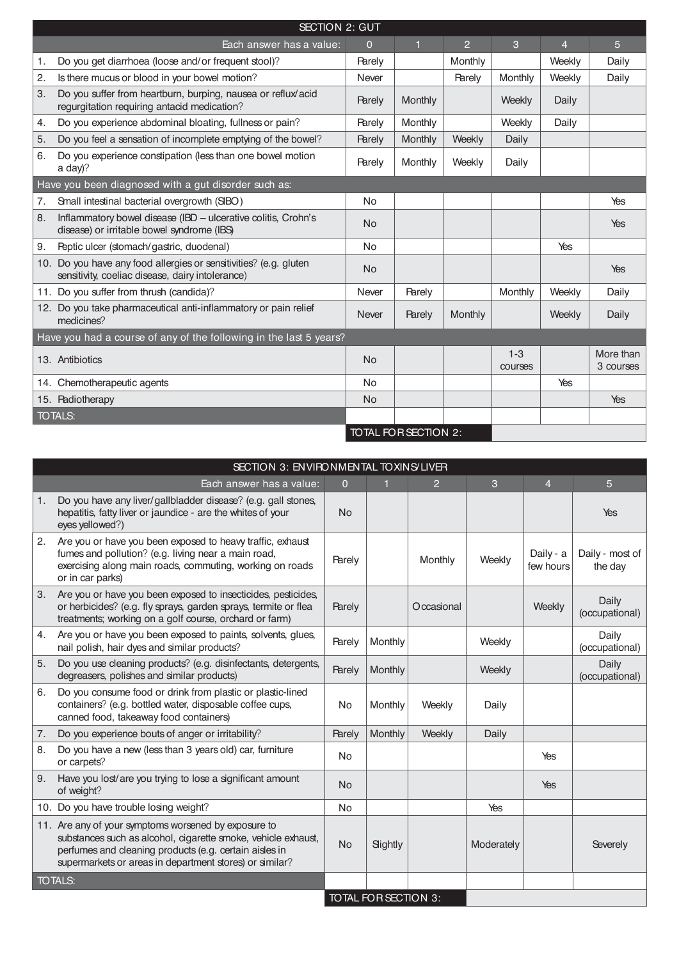|    | <b>SECTION 2: GUT</b>                                                                                                 |               |                      |                |                    |                |                        |  |  |  |
|----|-----------------------------------------------------------------------------------------------------------------------|---------------|----------------------|----------------|--------------------|----------------|------------------------|--|--|--|
|    | Each answer has a value:                                                                                              | 0             | п                    | $\overline{2}$ | 3                  | $\overline{4}$ | 5                      |  |  |  |
| 1. | Do you get diarrhoea (loose and/or frequent stool)?                                                                   | <b>Rarely</b> |                      | Monthly        |                    | Weekly         | Daily                  |  |  |  |
| 2. | Is there mucus or blood in your bowel motion?                                                                         | Never         |                      | <b>Rarely</b>  | Monthly            | Weekly         | Daily                  |  |  |  |
| 3. | Do you suffer from heartburn, burping, nausea or reflux/acid<br>regurgitation requiring antacid medication?           | <b>Rarely</b> | Monthly              |                | Weekly             | Daily          |                        |  |  |  |
| 4. | Do you experience abdominal bloating, fullness or pain?                                                               | <b>Rarely</b> | Monthly              |                | Weekly             | Daily          |                        |  |  |  |
| 5. | Do you feel a sensation of incomplete emptying of the bowel?                                                          | <b>Rarely</b> | Monthly              | Weekly         | Daily              |                |                        |  |  |  |
| 6. | Do you experience constipation (less than one bowel motion<br>a day)?                                                 | <b>Rarely</b> | Monthly              | Weekly         | Daily              |                |                        |  |  |  |
|    | Have you been diagnosed with a gut disorder such as:                                                                  |               |                      |                |                    |                |                        |  |  |  |
| 7. | Small intestinal bacterial overgrowth (SIBO)                                                                          | <b>No</b>     |                      |                |                    |                | Yes                    |  |  |  |
| 8. | Inflammatory bowel disease (IBD - ulcerative colitis, Crohn's<br>disease) or irritable bowel syndrome (IBS)           | <b>No</b>     |                      |                |                    |                | Yes                    |  |  |  |
| 9. | Peptic ulcer (stomach/gastric, duodenal)                                                                              | <b>No</b>     |                      |                |                    | Yes            |                        |  |  |  |
|    | 10. Do you have any food allergies or sensitivities? (e.g. gluten<br>sensitivity, coeliac disease, dairy intolerance) | <b>No</b>     |                      |                |                    |                | Yes                    |  |  |  |
|    | 11. Do you suffer from thrush (candida)?                                                                              | Never         | <b>Rarely</b>        |                | Monthly            | Weekly         | Daily                  |  |  |  |
|    | 12. Do you take pharmaceutical anti-inflammatory or pain relief<br>medicines?                                         | <b>Never</b>  | <b>Rarely</b>        | Monthly        |                    | Weekly         | Daily                  |  |  |  |
|    | Have you had a course of any of the following in the last 5 years?                                                    |               |                      |                |                    |                |                        |  |  |  |
|    | 13. Antibiotics                                                                                                       | <b>No</b>     |                      |                | $1 - 3$<br>courses |                | More than<br>3 courses |  |  |  |
|    | 14. Chemotherapeutic agents                                                                                           | <b>No</b>     |                      |                |                    | Yes            |                        |  |  |  |
|    | 15. Radiotherapy                                                                                                      | <b>No</b>     |                      |                |                    |                | Yes                    |  |  |  |
|    | <b>TOTALS:</b>                                                                                                        |               |                      |                |                    |                |                        |  |  |  |
|    |                                                                                                                       |               | TOTAL FOR SECTION 2: |                |                    |                |                        |  |  |  |

|    | SECTION 3: ENVIRONMENTAL TOXINS/LIVER                                                                                                                                                                                                      |                |                      |               |            |                        |                            |  |
|----|--------------------------------------------------------------------------------------------------------------------------------------------------------------------------------------------------------------------------------------------|----------------|----------------------|---------------|------------|------------------------|----------------------------|--|
|    | Each answer has a value:                                                                                                                                                                                                                   | $\overline{0}$ |                      | $\mathcal{P}$ | 3          | $\overline{4}$         | 5                          |  |
| 1. | Do you have any liver/gallbladder disease? (e.g. gall stones,<br>hepatitis, fatty liver or jaundice - are the whites of your<br>eyes yellowed?)                                                                                            | <b>No</b>      |                      |               |            |                        | Yes                        |  |
| 2. | Are you or have you been exposed to heavy traffic, exhaust<br>fumes and pollution? (e.g. living near a main road,<br>exercising along main roads, commuting, working on roads<br>or in car parks)                                          | <b>Rarely</b>  |                      | Monthly       | Weekly     | Daily - a<br>few hours | Daily - most of<br>the day |  |
| 3. | Are you or have you been exposed to insecticides, pesticides,<br>or herbicides? (e.g. fly sprays, garden sprays, termite or flea<br>treatments; working on a golf course, orchard or farm)                                                 | <b>Rarely</b>  |                      | Occasional    |            | Weekly                 | Daily<br>(occupational)    |  |
| 4. | Are you or have you been exposed to paints, solvents, glues,<br>nail polish, hair dyes and similar products?                                                                                                                               | <b>Rarely</b>  | Monthly              |               | Weekly     |                        | Daily<br>(occupational)    |  |
| 5. | Do you use cleaning products? (e.g. disinfectants, detergents,<br>degreasers, polishes and similar products)                                                                                                                               | <b>Rarely</b>  | Monthly              |               | Weekly     |                        | Daily<br>(occupational)    |  |
| 6. | Do you consume food or drink from plastic or plastic-lined<br>containers? (e.g. bottled water, disposable coffee cups,<br>canned food, takeaway food containers)                                                                           | No             | Monthly              | Weekly        | Daily      |                        |                            |  |
| 7. | Do you experience bouts of anger or irritability?                                                                                                                                                                                          | <b>Rarely</b>  | Monthly              | Weekly        | Daily      |                        |                            |  |
| 8. | Do you have a new (less than 3 years old) car, furniture<br>or carpets?                                                                                                                                                                    | No             |                      |               |            | Yes                    |                            |  |
| 9. | Have you lost/are you trying to lose a significant amount<br>of weight?                                                                                                                                                                    | <b>No</b>      |                      |               |            | Yes                    |                            |  |
|    | 10. Do you have trouble losing weight?                                                                                                                                                                                                     | No             |                      |               | Yes        |                        |                            |  |
|    | 11. Are any of your symptoms worsened by exposure to<br>substances such as alcohol, cigarette smoke, vehicle exhaust,<br>perfumes and cleaning products (e.g. certain aisles in<br>supermarkets or areas in department stores) or similar? | <b>No</b>      | Slightly             |               | Moderately |                        | Severely                   |  |
|    | <b>TOTALS:</b>                                                                                                                                                                                                                             |                |                      |               |            |                        |                            |  |
|    |                                                                                                                                                                                                                                            |                | TOTAL FOR SECTION 3: |               |            |                        |                            |  |